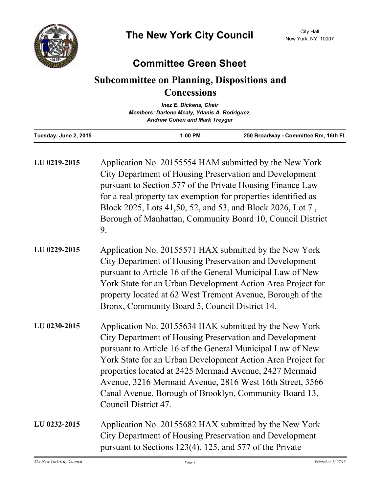

## **Committee Green Sheet**

## **Subcommittee on Planning, Dispositions and Concessions**

|                                              | <b>Inez E. Dickens, Chair</b>        |                                       |  |
|----------------------------------------------|--------------------------------------|---------------------------------------|--|
| Members: Darlene Mealy, Ydanis A. Rodriguez, |                                      |                                       |  |
|                                              | <b>Andrew Cohen and Mark Treyger</b> |                                       |  |
| Tuesday, June 2, 2015                        | $1:00$ PM                            | 250 Broadway - Committee Rm, 16th Fl. |  |

| LU 0219-2015 | Application No. 20155554 HAM submitted by the New York<br>City Department of Housing Preservation and Development<br>pursuant to Section 577 of the Private Housing Finance Law<br>for a real property tax exemption for properties identified as<br>Block 2025, Lots 41,50, 52, and 53, and Block 2026, Lot 7,<br>Borough of Manhattan, Community Board 10, Council District<br>9.                                                                     |
|--------------|---------------------------------------------------------------------------------------------------------------------------------------------------------------------------------------------------------------------------------------------------------------------------------------------------------------------------------------------------------------------------------------------------------------------------------------------------------|
| LU 0229-2015 | Application No. 20155571 HAX submitted by the New York<br>City Department of Housing Preservation and Development<br>pursuant to Article 16 of the General Municipal Law of New<br>York State for an Urban Development Action Area Project for<br>property located at 62 West Tremont Avenue, Borough of the<br>Bronx, Community Board 5, Council District 14.                                                                                          |
| LU 0230-2015 | Application No. 20155634 HAK submitted by the New York<br>City Department of Housing Preservation and Development<br>pursuant to Article 16 of the General Municipal Law of New<br>York State for an Urban Development Action Area Project for<br>properties located at 2425 Mermaid Avenue, 2427 Mermaid<br>Avenue, 3216 Mermaid Avenue, 2816 West 16th Street, 3566<br>Canal Avenue, Borough of Brooklyn, Community Board 13,<br>Council District 47. |
| LU 0232-2015 | Application No. 20155682 HAX submitted by the New York<br>City Department of Housing Preservation and Development<br>pursuant to Sections 123(4), 125, and 577 of the Private                                                                                                                                                                                                                                                                           |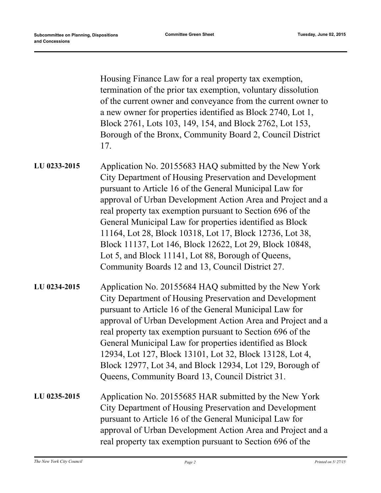Housing Finance Law for a real property tax exemption, termination of the prior tax exemption, voluntary dissolution of the current owner and conveyance from the current owner to a new owner for properties identified as Block 2740, Lot 1, Block 2761, Lots 103, 149, 154, and Block 2762, Lot 153, Borough of the Bronx, Community Board 2, Council District 17.

- Application No. 20155683 HAQ submitted by the New York City Department of Housing Preservation and Development pursuant to Article 16 of the General Municipal Law for approval of Urban Development Action Area and Project and a real property tax exemption pursuant to Section 696 of the General Municipal Law for properties identified as Block 11164, Lot 28, Block 10318, Lot 17, Block 12736, Lot 38, Block 11137, Lot 146, Block 12622, Lot 29, Block 10848, Lot 5, and Block 11141, Lot 88, Borough of Queens, Community Boards 12 and 13, Council District 27. **LU 0233-2015**
- Application No. 20155684 HAQ submitted by the New York City Department of Housing Preservation and Development pursuant to Article 16 of the General Municipal Law for approval of Urban Development Action Area and Project and a real property tax exemption pursuant to Section 696 of the General Municipal Law for properties identified as Block 12934, Lot 127, Block 13101, Lot 32, Block 13128, Lot 4, Block 12977, Lot 34, and Block 12934, Lot 129, Borough of Queens, Community Board 13, Council District 31. **LU 0234-2015**
- Application No. 20155685 HAR submitted by the New York City Department of Housing Preservation and Development pursuant to Article 16 of the General Municipal Law for approval of Urban Development Action Area and Project and a real property tax exemption pursuant to Section 696 of the **LU 0235-2015**